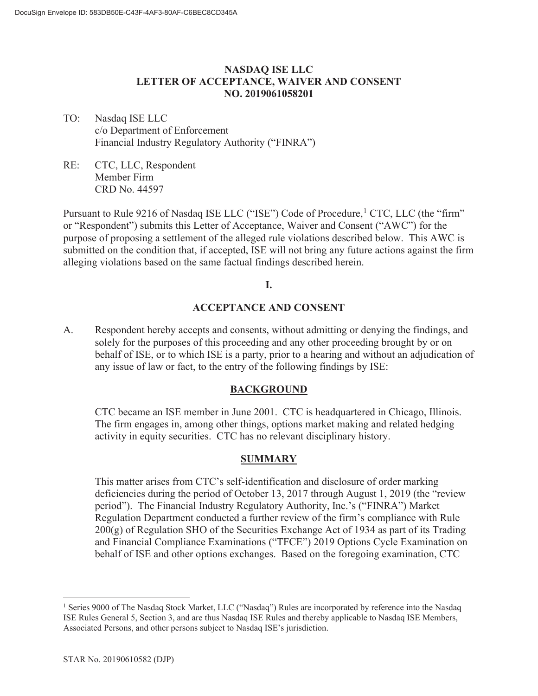## **NASDAQ ISE LLC LETTER OF ACCEPTANCE, WAIVER AND CONSENT NO. 2019061058201**

- TO: Nasdaq ISE LLC c/o Department of Enforcement Financial Industry Regulatory Authority ("FINRA")
- RE: CTC, LLC, Respondent Member Firm CRD No. 44597

Pursuant to Rule 9216 of Nasdaq ISE LLC ("ISE") Code of Procedure, <sup>1</sup> CTC, LLC (the "firm" or "Respondent") submits this Letter of Acceptance, Waiver and Consent ("AWC") for the purpose of proposing a settlement of the alleged rule violations described below. This AWC is submitted on the condition that, if accepted, ISE will not bring any future actions against the firm alleging violations based on the same factual findings described herein.

### **I.**

## **ACCEPTANCE AND CONSENT**

A. Respondent hereby accepts and consents, without admitting or denying the findings, and solely for the purposes of this proceeding and any other proceeding brought by or on behalf of ISE, or to which ISE is a party, prior to a hearing and without an adjudication of any issue of law or fact, to the entry of the following findings by ISE:

## **BACKGROUND**

CTC became an ISE member in June 2001. CTC is headquartered in Chicago, Illinois. The firm engages in, among other things, options market making and related hedging activity in equity securities. CTC has no relevant disciplinary history.

## **SUMMARY**

This matter arises from CTC's self-identification and disclosure of order marking deficiencies during the period of October 13, 2017 through August 1, 2019 (the "review period"). The Financial Industry Regulatory Authority, Inc.'s ("FINRA") Market Regulation Department conducted a further review of the firm's compliance with Rule  $200(g)$  of Regulation SHO of the Securities Exchange Act of 1934 as part of its Trading and Financial Compliance Examinations ("TFCE") 2019 Options Cycle Examination on behalf of ISE and other options exchanges. Based on the foregoing examination, CTC

<sup>&</sup>lt;sup>1</sup> Series 9000 of The Nasdaq Stock Market, LLC ("Nasdaq") Rules are incorporated by reference into the Nasdaq ISE Rules General 5, Section 3, and are thus Nasdaq ISE Rules and thereby applicable to Nasdaq ISE Members, Associated Persons, and other persons subject to Nasdaq ISE's jurisdiction.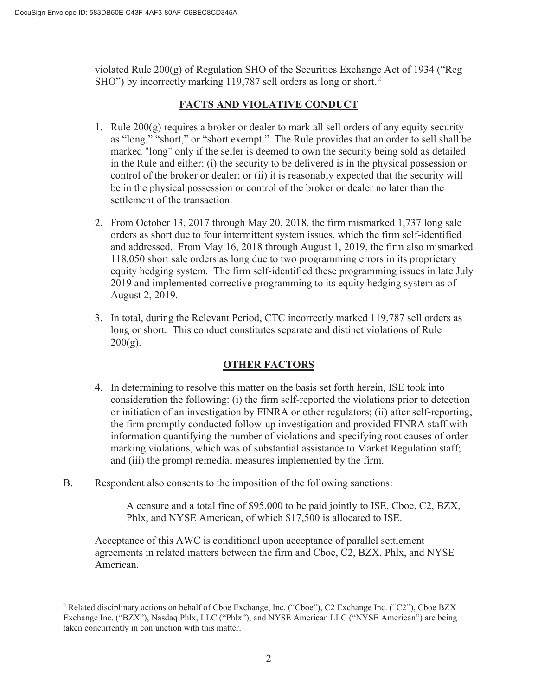violated Rule 200(g) of Regulation SHO of the Securities Exchange Act of 1934 ("Reg SHO") by incorrectly marking 119,787 sell orders as long or short.<sup>2</sup>

# **FACTS AND VIOLATIVE CONDUCT**

- 1. Rule 200(g) requires a broker or dealer to mark all sell orders of any equity security as "long," "short," or "short exempt." The Rule provides that an order to sell shall be marked "long" only if the seller is deemed to own the security being sold as detailed in the Rule and either: (i) the security to be delivered is in the physical possession or control of the broker or dealer; or (ii) it is reasonably expected that the security will be in the physical possession or control of the broker or dealer no later than the settlement of the transaction.
- 2. From October 13, 2017 through May 20, 2018, the firm mismarked 1,737 long sale orders as short due to four intermittent system issues, which the firm self-identified and addressed. From May 16, 2018 through August 1, 2019, the firm also mismarked 118,050 short sale orders as long due to two programming errors in its proprietary equity hedging system. The firm self-identified these programming issues in late July 2019 and implemented corrective programming to its equity hedging system as of August 2, 2019.
- 3. In total, during the Relevant Period, CTC incorrectly marked 119,787 sell orders as long or short. This conduct constitutes separate and distinct violations of Rule  $200(g)$ .

# **OTHER FACTORS**

- 4. In determining to resolve this matter on the basis set forth herein, ISE took into consideration the following: (i) the firm self-reported the violations prior to detection or initiation of an investigation by FINRA or other regulators; (ii) after self-reporting, the firm promptly conducted follow-up investigation and provided FINRA staff with information quantifying the number of violations and specifying root causes of order marking violations, which was of substantial assistance to Market Regulation staff; and (iii) the prompt remedial measures implemented by the firm.
- B. Respondent also consents to the imposition of the following sanctions:

 A censure and a total fine of \$95,000 to be paid jointly to ISE, Cboe, C2, BZX, Phlx, and NYSE American, of which \$17,500 is allocated to ISE.

Acceptance of this AWC is conditional upon acceptance of parallel settlement agreements in related matters between the firm and Cboe, C2, BZX, Phlx, and NYSE American.

<sup>&</sup>lt;sup>2</sup> Related disciplinary actions on behalf of Cboe Exchange, Inc. ("Cboe"), C2 Exchange Inc. ("C2"), Cboe BZX Exchange Inc. ("BZX"), Nasdaq Phlx, LLC ("Phlx"), and NYSE American LLC ("NYSE American") are being taken concurrently in conjunction with this matter.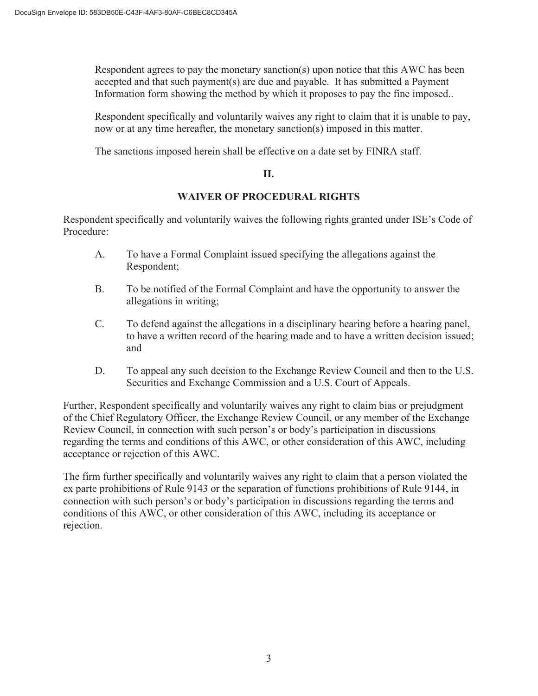Respondent agrees to pay the monetary sanction(s) upon notice that this AWC has been accepted and that such payment(s) are due and payable. It has submitted a Payment Information form showing the method by which it proposes to pay the fine imposed..

 Respondent specifically and voluntarily waives any right to claim that it is unable to pay, now or at any time hereafter, the monetary sanction(s) imposed in this matter.

The sanctions imposed herein shall be effective on a date set by FINRA staff.

### **II.**

## **WAIVER OF PROCEDURAL RIGHTS**

Respondent specifically and voluntarily waives the following rights granted under ISE's Code of Procedure:

- A. To have a Formal Complaint issued specifying the allegations against the Respondent;
- B. To be notified of the Formal Complaint and have the opportunity to answer the allegations in writing;
- C. To defend against the allegations in a disciplinary hearing before a hearing panel, to have a written record of the hearing made and to have a written decision issued; and
- D. To appeal any such decision to the Exchange Review Council and then to the U.S. Securities and Exchange Commission and a U.S. Court of Appeals.

Further, Respondent specifically and voluntarily waives any right to claim bias or prejudgment of the Chief Regulatory Officer, the Exchange Review Council, or any member of the Exchange Review Council, in connection with such person's or body's participation in discussions regarding the terms and conditions of this AWC, or other consideration of this AWC, including acceptance or rejection of this AWC.

The firm further specifically and voluntarily waives any right to claim that a person violated the ex parte prohibitions of Rule 9143 or the separation of functions prohibitions of Rule 9144, in connection with such person's or body's participation in discussions regarding the terms and conditions of this AWC, or other consideration of this AWC, including its acceptance or rejection.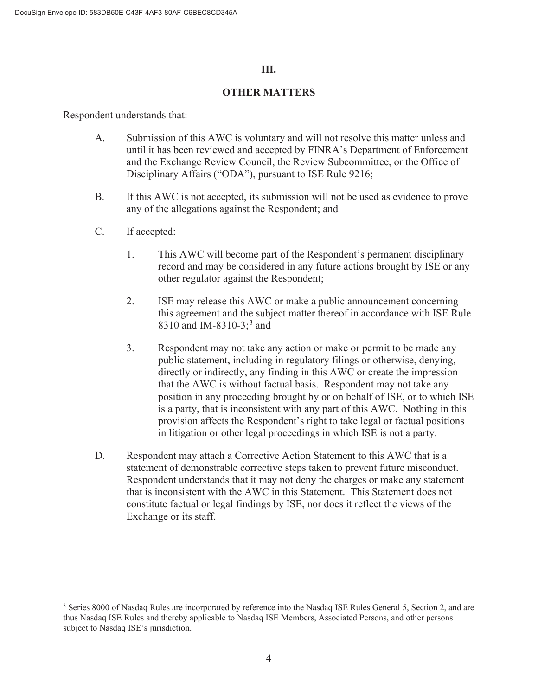### **III.**

### **OTHER MATTERS**

Respondent understands that:

- A. Submission of this AWC is voluntary and will not resolve this matter unless and until it has been reviewed and accepted by FINRA's Department of Enforcement and the Exchange Review Council, the Review Subcommittee, or the Office of Disciplinary Affairs ("ODA"), pursuant to ISE Rule 9216;
- B. If this AWC is not accepted, its submission will not be used as evidence to prove any of the allegations against the Respondent; and
- C. If accepted:
	- 1. This AWC will become part of the Respondent's permanent disciplinary record and may be considered in any future actions brought by ISE or any other regulator against the Respondent;
	- 2. ISE may release this AWC or make a public announcement concerning this agreement and the subject matter thereof in accordance with ISE Rule 8310 and IM-8310-3;<sup>3</sup> and
	- 3. Respondent may not take any action or make or permit to be made any public statement, including in regulatory filings or otherwise, denying, directly or indirectly, any finding in this AWC or create the impression that the AWC is without factual basis. Respondent may not take any position in any proceeding brought by or on behalf of ISE, or to which ISE is a party, that is inconsistent with any part of this AWC. Nothing in this provision affects the Respondent's right to take legal or factual positions in litigation or other legal proceedings in which ISE is not a party.
- D. Respondent may attach a Corrective Action Statement to this AWC that is a statement of demonstrable corrective steps taken to prevent future misconduct. Respondent understands that it may not deny the charges or make any statement that is inconsistent with the AWC in this Statement. This Statement does not constitute factual or legal findings by ISE, nor does it reflect the views of the Exchange or its staff.

<sup>&</sup>lt;sup>3</sup> Series 8000 of Nasdaq Rules are incorporated by reference into the Nasdaq ISE Rules General 5, Section 2, and are thus Nasdaq ISE Rules and thereby applicable to Nasdaq ISE Members, Associated Persons, and other persons subject to Nasdaq ISE's jurisdiction.